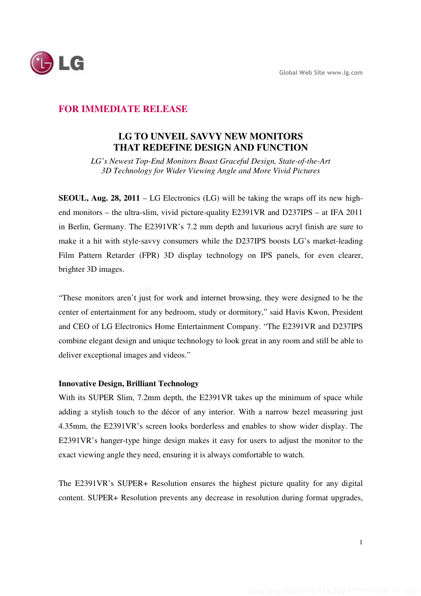

# **FOR IMMEDIATE RELEASE**

# **LG TO UNVEIL SAVVY NEW MONITORS THAT REDEFINE DESIGN AND FUNCTION**

*LG's Newest Top-End Monitors Boast Graceful Design, State-of-the-Art 3D Technology for Wider Viewing Angle and More Vivid Pictures* 

**SEOUL, Aug. 28, 2011** – LG Electronics (LG) will be taking the wraps off its new highend monitors – the ultra-slim, vivid picture-quality E2391VR and D237IPS – at IFA 2011 in Berlin, Germany. The E2391VR's 7.2 mm depth and luxurious acryl finish are sure to make it a hit with style-savvy consumers while the D237IPS boosts LG's market-leading Film Pattern Retarder (FPR) 3D display technology on IPS panels, for even clearer, brighter 3D images.

"These monitors aren't just for work and internet browsing, they were designed to be the center of entertainment for any bedroom, study or dormitory," said Havis Kwon, President and CEO of LG Electronics Home Entertainment Company. "The E2391VR and D237IPS combine elegant design and unique technology to look great in any room and still be able to deliver exceptional images and videos."

### **Innovative Design, Brilliant Technology**

With its SUPER Slim, 7.2mm depth, the E2391VR takes up the minimum of space while adding a stylish touch to the décor of any interior. With a narrow bezel measuring just 4.35mm, the E2391VR's screen looks borderless and enables to show wider display. The E2391VR's hanger-type hinge design makes it easy for users to adjust the monitor to the exact viewing angle they need, ensuring it is always comfortable to watch.

The E2391VR's SUPER+ Resolution ensures the highest picture quality for any digital content. SUPER+ Resolution prevents any decrease in resolution during format upgrades,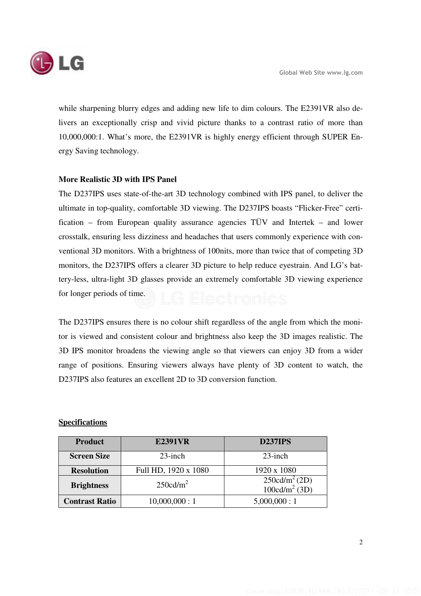

while sharpening blurry edges and adding new life to dim colours. The E2391VR also delivers an exceptionally crisp and vivid picture thanks to a contrast ratio of more than 10,000,000:1. What's more, the E2391VR is highly energy efficient through SUPER Energy Saving technology.

## **More Realistic 3D with IPS Panel**

The D237IPS uses state-of-the-art 3D technology combined with IPS panel, to deliver the ultimate in top-quality, comfortable 3D viewing. The D237IPS boasts "Flicker-Free" certification – from European quality assurance agencies TÜV and Intertek – and lower crosstalk, ensuring less dizziness and headaches that users commonly experience with conventional 3D monitors. With a brightness of 100nits, more than twice that of competing 3D monitors, the D237IPS offers a clearer 3D picture to help reduce eyestrain. And LG's battery-less, ultra-light 3D glasses provide an extremely comfortable 3D viewing experience for longer periods of time.

The D237IPS ensures there is no colour shift regardless of the angle from which the monitor is viewed and consistent colour and brightness also keep the 3D images realistic. The 3D IPS monitor broadens the viewing angle so that viewers can enjoy 3D from a wider range of positions. Ensuring viewers always have plenty of 3D content to watch, the D237IPS also features an excellent 2D to 3D conversion function.

## **Specifications**

| <b>Product</b>        | <b>E2391VR</b>       | <b>D237IPS</b>                                       |
|-----------------------|----------------------|------------------------------------------------------|
| <b>Screen Size</b>    | $23$ -inch           | $23$ -inch                                           |
| <b>Resolution</b>     | Full HD, 1920 x 1080 | 1920 x 1080                                          |
| <b>Brightness</b>     | $250 \text{cd/m}^2$  | $250 \text{cd/m}^2 (2D)$<br>100 $\text{cd/m}^2$ (3D) |
| <b>Contrast Ratio</b> | 10,000,000:1         | 5,000,000:1                                          |